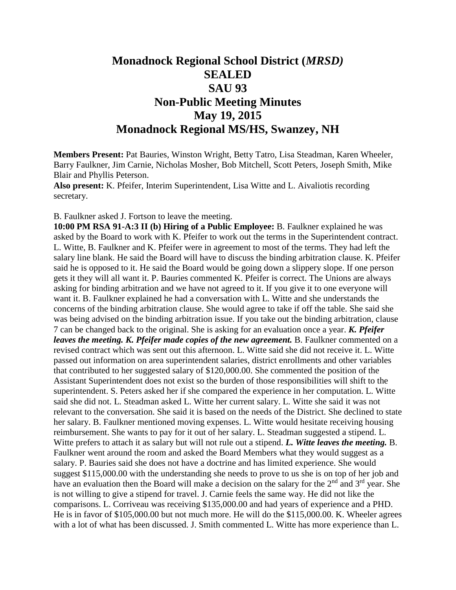## **Monadnock Regional School District (***MRSD)* **SEALED SAU 93 Non-Public Meeting Minutes May 19, 2015 Monadnock Regional MS/HS, Swanzey, NH**

**Members Present:** Pat Bauries, Winston Wright, Betty Tatro, Lisa Steadman, Karen Wheeler, Barry Faulkner, Jim Carnie, Nicholas Mosher, Bob Mitchell, Scott Peters, Joseph Smith, Mike Blair and Phyllis Peterson.

**Also present:** K. Pfeifer, Interim Superintendent, Lisa Witte and L. Aivaliotis recording secretary.

B. Faulkner asked J. Fortson to leave the meeting.

**10:00 PM RSA 91-A:3 II (b) Hiring of a Public Employee:** B. Faulkner explained he was asked by the Board to work with K. Pfeifer to work out the terms in the Superintendent contract. L. Witte, B. Faulkner and K. Pfeifer were in agreement to most of the terms. They had left the salary line blank. He said the Board will have to discuss the binding arbitration clause. K. Pfeifer said he is opposed to it. He said the Board would be going down a slippery slope. If one person gets it they will all want it. P. Bauries commented K. Pfeifer is correct. The Unions are always asking for binding arbitration and we have not agreed to it. If you give it to one everyone will want it. B. Faulkner explained he had a conversation with L. Witte and she understands the concerns of the binding arbitration clause. She would agree to take if off the table. She said she was being advised on the binding arbitration issue. If you take out the binding arbitration, clause 7 can be changed back to the original. She is asking for an evaluation once a year. *K. Pfeifer leaves the meeting. K. Pfeifer made copies of the new agreement.* B. Faulkner commented on a revised contract which was sent out this afternoon. L. Witte said she did not receive it. L. Witte passed out information on area superintendent salaries, district enrollments and other variables that contributed to her suggested salary of \$120,000.00. She commented the position of the Assistant Superintendent does not exist so the burden of those responsibilities will shift to the superintendent. S. Peters asked her if she compared the experience in her computation. L. Witte said she did not. L. Steadman asked L. Witte her current salary. L. Witte she said it was not relevant to the conversation. She said it is based on the needs of the District. She declined to state her salary. B. Faulkner mentioned moving expenses. L. Witte would hesitate receiving housing reimbursement. She wants to pay for it out of her salary. L. Steadman suggested a stipend. L. Witte prefers to attach it as salary but will not rule out a stipend. *L. Witte leaves the meeting.* B. Faulkner went around the room and asked the Board Members what they would suggest as a salary. P. Bauries said she does not have a doctrine and has limited experience. She would suggest \$115,000.00 with the understanding she needs to prove to us she is on top of her job and have an evaluation then the Board will make a decision on the salary for the 2<sup>nd</sup> and 3<sup>rd</sup> year. She is not willing to give a stipend for travel. J. Carnie feels the same way. He did not like the comparisons. L. Corriveau was receiving \$135,000.00 and had years of experience and a PHD. He is in favor of \$105,000.00 but not much more. He will do the \$115,000.00. K. Wheeler agrees with a lot of what has been discussed. J. Smith commented L. Witte has more experience than L.